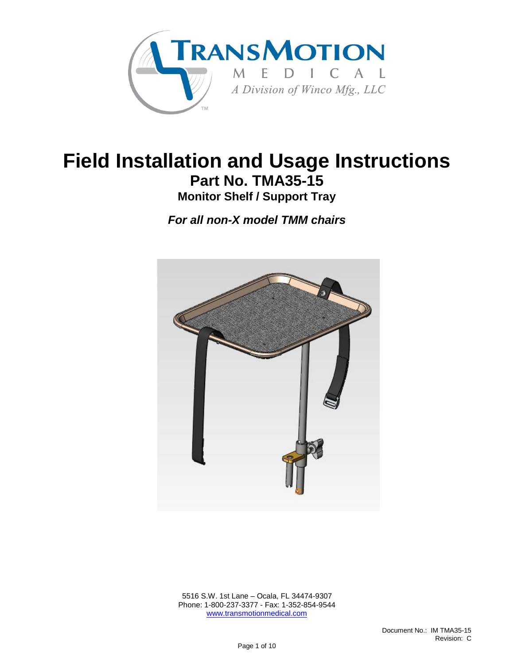

# **Field Installation and Usage Instructions Part No. TMA35-15 Monitor Shelf / Support Tray**

*For all non-X model TMM chairs*



 5516 S.W. 1st Lane – Ocala, FL 34474-9307 Phone: 1-800-237-3377 - Fax: 1-352-854-9544 [www.transmotionmedical.com](http://www.transmotionmedical.com/)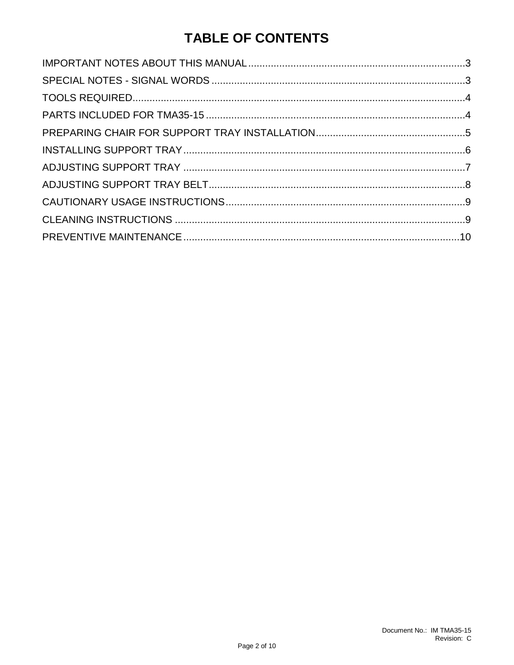# **TABLE OF CONTENTS**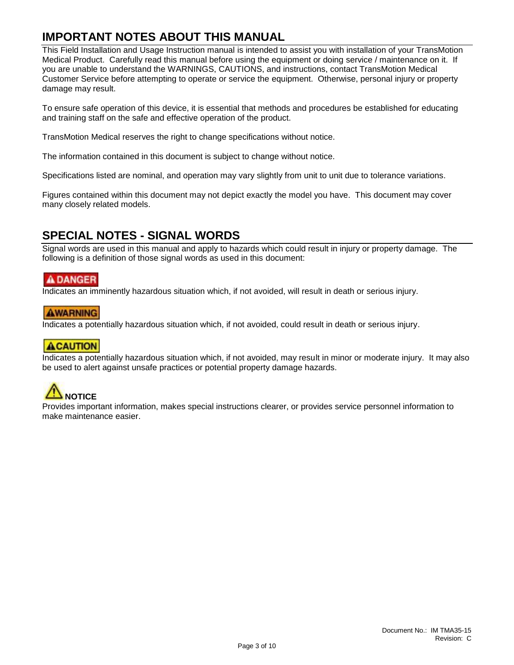### <span id="page-2-0"></span>**IMPORTANT NOTES ABOUT THIS MANUAL**

This Field Installation and Usage Instruction manual is intended to assist you with installation of your TransMotion Medical Product. Carefully read this manual before using the equipment or doing service / maintenance on it. If you are unable to understand the WARNINGS, CAUTIONS, and instructions, contact TransMotion Medical Customer Service before attempting to operate or service the equipment. Otherwise, personal injury or property damage may result.

To ensure safe operation of this device, it is essential that methods and procedures be established for educating and training staff on the safe and effective operation of the product.

TransMotion Medical reserves the right to change specifications without notice.

The information contained in this document is subject to change without notice.

Specifications listed are nominal, and operation may vary slightly from unit to unit due to tolerance variations.

Figures contained within this document may not depict exactly the model you have. This document may cover many closely related models.

### <span id="page-2-1"></span>**SPECIAL NOTES - SIGNAL WORDS**

Signal words are used in this manual and apply to hazards which could result in injury or property damage. The following is a definition of those signal words as used in this document:

#### **A DANGER**

Indicates an imminently hazardous situation which, if not avoided, will result in death or serious injury.

#### **AWARNING**

Indicates a potentially hazardous situation which, if not avoided, could result in death or serious injury.

#### **ACAUTION**

Indicates a potentially hazardous situation which, if not avoided, may result in minor or moderate injury. It may also be used to alert against unsafe practices or potential property damage hazards.

# **NOTICE**

Provides important information, makes special instructions clearer, or provides service personnel information to make maintenance easier.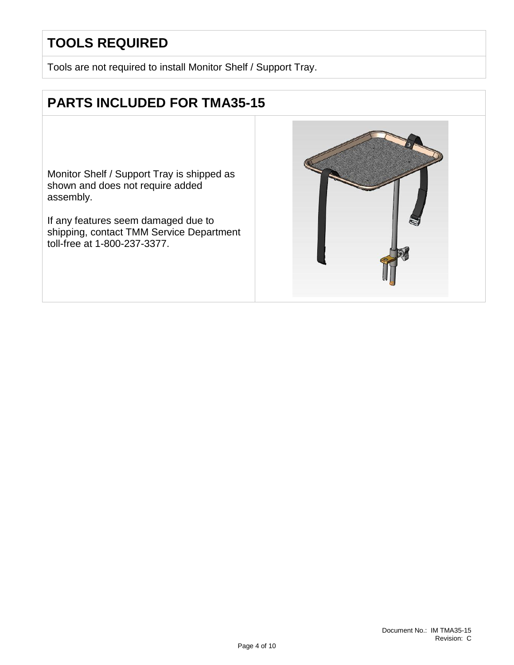# <span id="page-3-0"></span>**TOOLS REQUIRED**

Tools are not required to install Monitor Shelf / Support Tray.

# <span id="page-3-1"></span>**PARTS INCLUDED FOR TMA35-15**

Monitor Shelf / Support Tray is shipped as shown and does not require added assembly.

If any features seem damaged due to shipping, contact TMM Service Department toll-free at 1-800-237-3377.

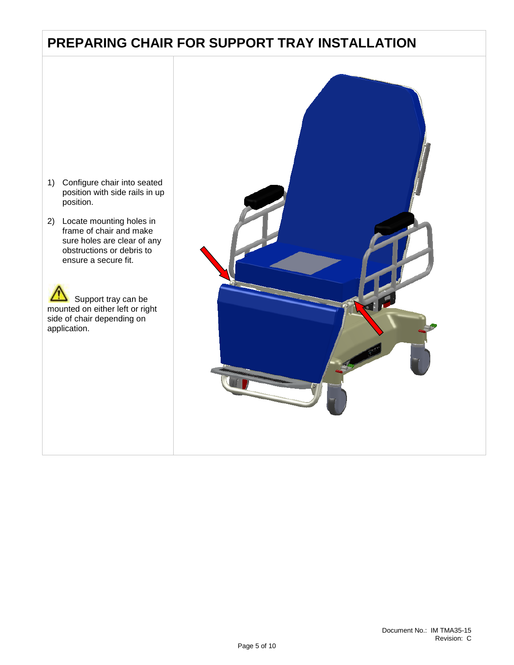### <span id="page-4-0"></span>**PREPARING CHAIR FOR SUPPORT TRAY INSTALLATION**

- 1) Configure chair into seated position with side rails in up position.
- 2) Locate mounting holes in frame of chair and make sure holes are clear of any obstructions or debris to ensure a secure fit.

 Support tray can be mounted on either left or right side of chair depending on application.

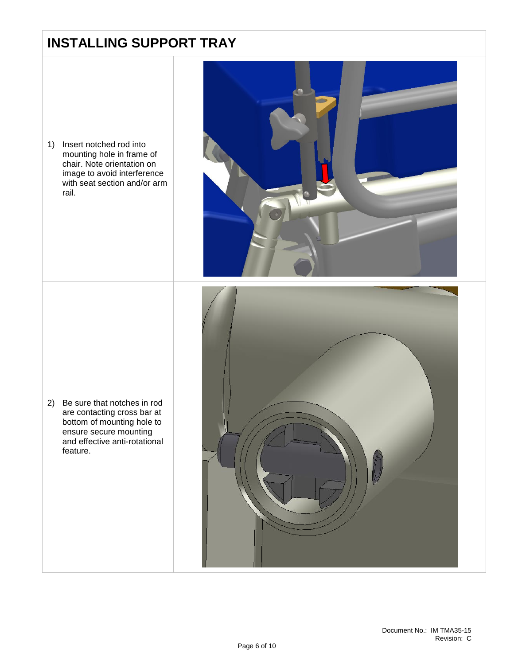### <span id="page-5-0"></span>**INSTALLING SUPPORT TRAY**

1) Insert notched rod into mounting hole in frame of chair. Note orientation on image to avoid interference with seat section and/or arm rail.



2) Be sure that notches in rod are contacting cross bar at bottom of mounting hole to ensure secure mounting and effective anti-rotational feature.

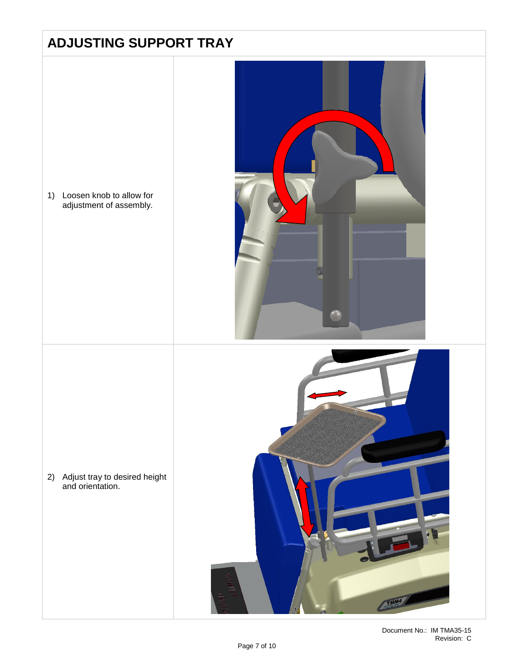<span id="page-6-0"></span>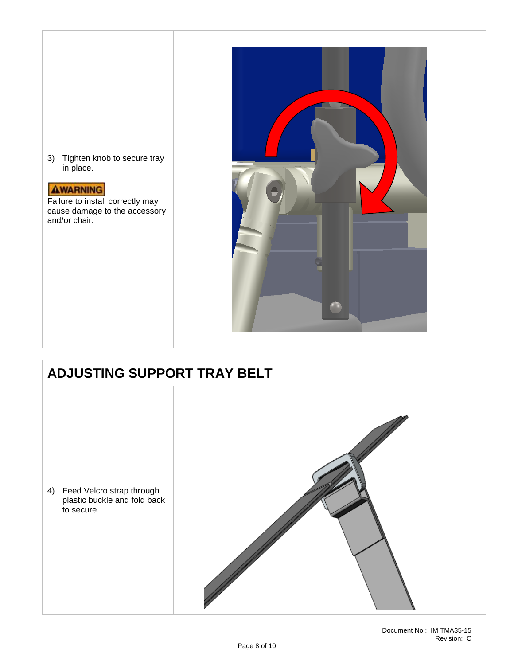



Failure to install correctly may cause damage to the accessory and/or chair.



# <span id="page-7-0"></span>**ADJUSTING SUPPORT TRAY BELT**

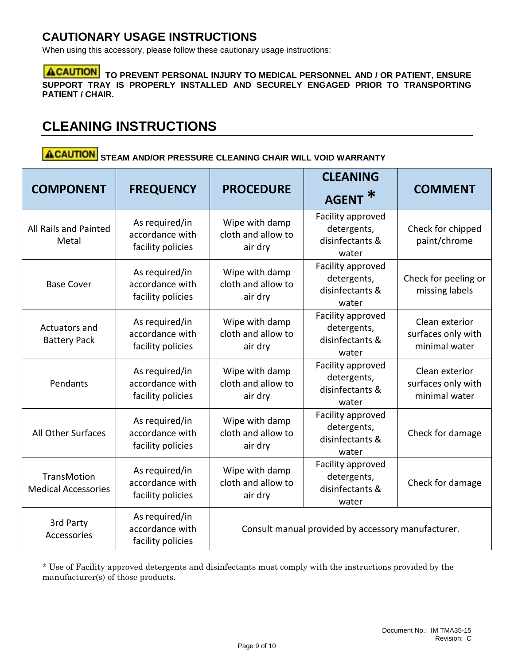### <span id="page-8-0"></span>**CAUTIONARY USAGE INSTRUCTIONS**

When using this accessory, please follow these cautionary usage instructions:

**ACAUTION** TO PREVENT PERSONAL INJURY TO MEDICAL PERSONNEL AND / OR PATIENT, ENSURE **SUPPORT TRAY IS PROPERLY INSTALLED AND SECURELY ENGAGED PRIOR TO TRANSPORTING PATIENT / CHAIR.**

# **CLEANING INSTRUCTIONS**

**ACAUTION** STEAM AND/OR PRESSURE CLEANING CHAIR WILL VOID WARRANTY

| <b>COMPONENT</b>                                 | <b>FREQUENCY</b>                                       | <b>PROCEDURE</b>                                | <b>CLEANING</b><br><b>AGENT</b>                              | <b>COMMENT</b>                                        |
|--------------------------------------------------|--------------------------------------------------------|-------------------------------------------------|--------------------------------------------------------------|-------------------------------------------------------|
| All Rails and Painted<br>Metal                   | As required/in<br>accordance with<br>facility policies | Wipe with damp<br>cloth and allow to<br>air dry | Facility approved<br>detergents,<br>disinfectants &<br>water | Check for chipped<br>paint/chrome                     |
| <b>Base Cover</b>                                | As required/in<br>accordance with<br>facility policies | Wipe with damp<br>cloth and allow to<br>air dry | Facility approved<br>detergents,<br>disinfectants &<br>water | Check for peeling or<br>missing labels                |
| Actuators and<br><b>Battery Pack</b>             | As required/in<br>accordance with<br>facility policies | Wipe with damp<br>cloth and allow to<br>air dry | Facility approved<br>detergents,<br>disinfectants &<br>water | Clean exterior<br>surfaces only with<br>minimal water |
| Pendants                                         | As required/in<br>accordance with<br>facility policies | Wipe with damp<br>cloth and allow to<br>air dry | Facility approved<br>detergents,<br>disinfectants &<br>water | Clean exterior<br>surfaces only with<br>minimal water |
| <b>All Other Surfaces</b>                        | As required/in<br>accordance with<br>facility policies | Wipe with damp<br>cloth and allow to<br>air dry | Facility approved<br>detergents,<br>disinfectants &<br>water | Check for damage                                      |
| <b>TransMotion</b><br><b>Medical Accessories</b> | As required/in<br>accordance with<br>facility policies | Wipe with damp<br>cloth and allow to<br>air dry | Facility approved<br>detergents,<br>disinfectants &<br>water | Check for damage                                      |
| 3rd Party<br>Accessories                         | As required/in<br>accordance with<br>facility policies |                                                 | Consult manual provided by accessory manufacturer.           |                                                       |

\* Use of Facility approved detergents and disinfectants must comply with the instructions provided by the manufacturer(s) of those products.